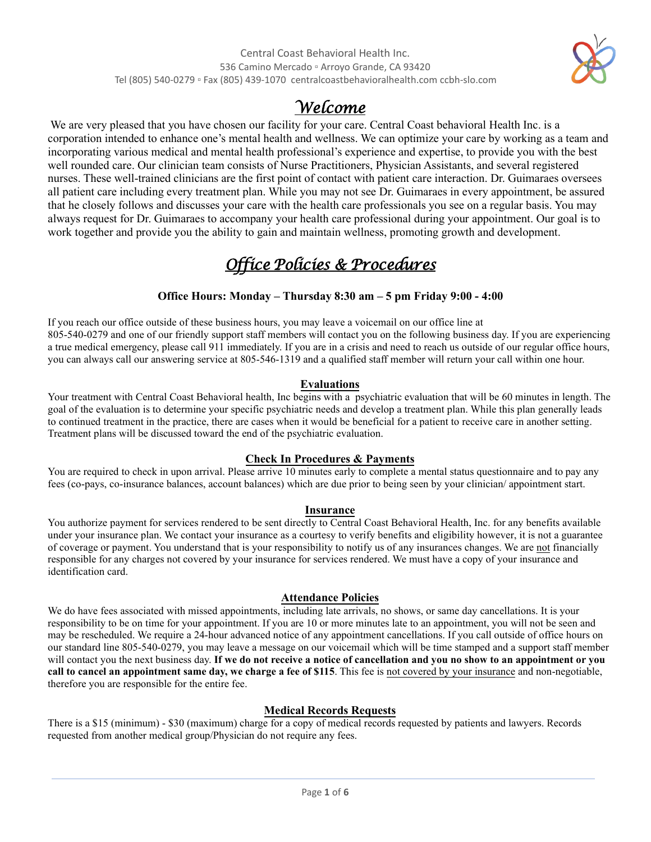

# *Welcome*

We are very pleased that you have chosen our facility for your care. Central Coast behavioral Health Inc. is a corporation intended to enhance one's mental health and wellness. We can optimize your care by working as a team and incorporating various medical and mental health professional's experience and expertise, to provide you with the best well rounded care. Our clinician team consists of Nurse Practitioners, Physician Assistants, and several registered nurses. These well-trained clinicians are the first point of contact with patient care interaction. Dr. Guimaraes oversees all patient care including every treatment plan. While you may not see Dr. Guimaraes in every appointment, be assured that he closely follows and discusses your care with the health care professionals you see on a regular basis. You may always request for Dr. Guimaraes to accompany your health care professional during your appointment. Our goal is to work together and provide you the ability to gain and maintain wellness, promoting growth and development.

# *Office Policies & Procedures*

# **Office Hours: Monday – Thursday 8:30 am – 5 pm Friday 9:00 - 4:00**

If you reach our office outside of these business hours, you may leave a voicemail on our office line at 805-540-0279 and one of our friendly support staff members will contact you on the following business day. If you are experiencing a true medical emergency, please call 911 immediately. If you are in a crisis and need to reach us outside of our regular office hours, you can always call our answering service at 805-546-1319 and a qualified staff member will return your call within one hour.

# **Evaluations**

Your treatment with Central Coast Behavioral health, Inc begins with a psychiatric evaluation that will be 60 minutes in length. The goal of the evaluation is to determine your specific psychiatric needs and develop a treatment plan. While this plan generally leads to continued treatment in the practice, there are cases when it would be beneficial for a patient to receive care in another setting. Treatment plans will be discussed toward the end of the psychiatric evaluation.

# **Check In Procedures & Payments**

You are required to check in upon arrival. Please arrive 10 minutes early to complete a mental status questionnaire and to pay any fees (co-pays, co-insurance balances, account balances) which are due prior to being seen by your clinician/ appointment start.

# **Insurance**

You authorize payment for services rendered to be sent directly to Central Coast Behavioral Health, Inc. for any benefits available under your insurance plan. We contact your insurance as a courtesy to verify benefits and eligibility however, it is not a guarantee of coverage or payment. You understand that is your responsibility to notify us of any insurances changes. We are not financially responsible for any charges not covered by your insurance for services rendered. We must have a copy of your insurance and identification card.

# **Attendance Policies**

We do have fees associated with missed appointments, including late arrivals, no shows, or same day cancellations. It is your responsibility to be on time for your appointment. If you are 10 or more minutes late to an appointment, you will not be seen and may be rescheduled. We require a 24-hour advanced notice of any appointment cancellations. If you call outside of office hours on our standard line 805-540-0279, you may leave a message on our voicemail which will be time stamped and a support staff member will contact you the next business day. **If we do not receive a notice of cancellation and you no show to an appointment or you call to cancel an appointment same day, we charge a fee of \$115**. This fee is not covered by your insurance and non-negotiable, therefore you are responsible for the entire fee.

# **Medical Records Requests**

There is a \$15 (minimum) - \$30 (maximum) charge for a copy of medical records requested by patients and lawyers. Records requested from another medical group/Physician do not require any fees.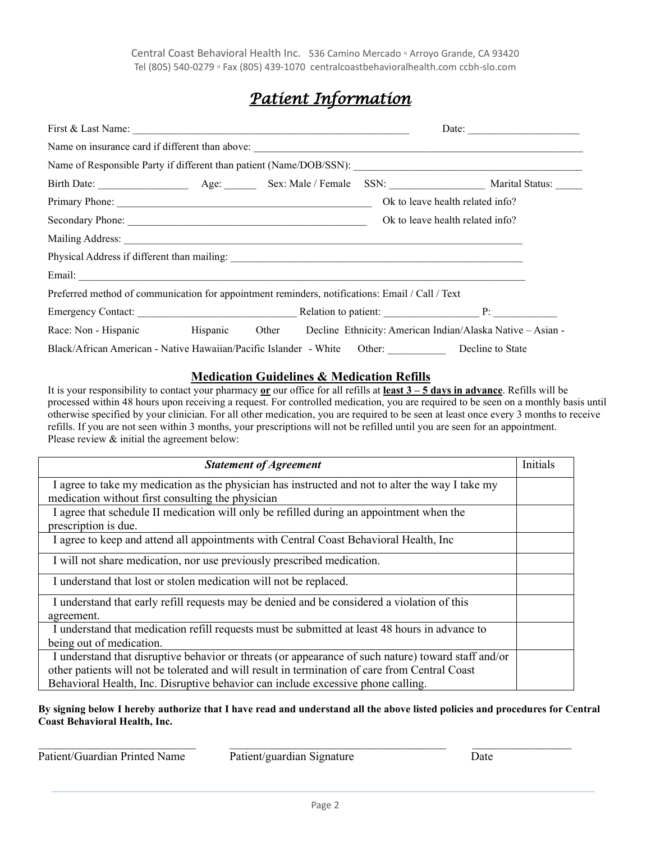# *Patient Information*

| First & Last Name:                                                                                                                                                                                                                   |  |                                  | Date: |                                                                                                |
|--------------------------------------------------------------------------------------------------------------------------------------------------------------------------------------------------------------------------------------|--|----------------------------------|-------|------------------------------------------------------------------------------------------------|
|                                                                                                                                                                                                                                      |  |                                  |       |                                                                                                |
|                                                                                                                                                                                                                                      |  |                                  |       |                                                                                                |
|                                                                                                                                                                                                                                      |  |                                  |       |                                                                                                |
|                                                                                                                                                                                                                                      |  |                                  |       | Ok to leave health related info?                                                               |
|                                                                                                                                                                                                                                      |  | Ok to leave health related info? |       |                                                                                                |
|                                                                                                                                                                                                                                      |  |                                  |       |                                                                                                |
|                                                                                                                                                                                                                                      |  |                                  |       |                                                                                                |
| Email: <u>Alexander Alexander Alexander Alexander Alexander Alexander Alexander Alexander Alexander Alexander Alexander Alexander Alexander Alexander Alexander Alexander Alexander Alexander Alexander Alexander Alexander Alex</u> |  |                                  |       |                                                                                                |
| Preferred method of communication for appointment reminders, notifications: Email / Call / Text                                                                                                                                      |  |                                  |       |                                                                                                |
|                                                                                                                                                                                                                                      |  |                                  |       |                                                                                                |
|                                                                                                                                                                                                                                      |  |                                  |       | Race: Non - Hispanic Hispanic Other Decline Ethnicity: American Indian/Alaska Native - Asian - |
| Black/African American - Native Hawaiian/Pacific Islander - White Other:                                                                                                                                                             |  |                                  |       | Decline to State                                                                               |

# **Medication Guidelines & Medication Refills**

It is your responsibility to contact your pharmacy **or** our office for all refills at **least 3 – 5 days in advance**. Refills will be processed within 48 hours upon receiving a request. For controlled medication, you are required to be seen on a monthly basis until otherwise specified by your clinician. For all other medication, you are required to be seen at least once every 3 months to receive refills. If you are not seen within 3 months, your prescriptions will not be refilled until you are seen for an appointment. Please review & initial the agreement below:

| <b>Statement of Agreement</b>                                                                       | Initials |  |  |  |
|-----------------------------------------------------------------------------------------------------|----------|--|--|--|
| I agree to take my medication as the physician has instructed and not to alter the way I take my    |          |  |  |  |
| medication without first consulting the physician                                                   |          |  |  |  |
| I agree that schedule II medication will only be refilled during an appointment when the            |          |  |  |  |
| prescription is due.                                                                                |          |  |  |  |
| I agree to keep and attend all appointments with Central Coast Behavioral Health, Inc               |          |  |  |  |
| I will not share medication, nor use previously prescribed medication.                              |          |  |  |  |
| I understand that lost or stolen medication will not be replaced.                                   |          |  |  |  |
| I understand that early refill requests may be denied and be considered a violation of this         |          |  |  |  |
| agreement.                                                                                          |          |  |  |  |
| I understand that medication refill requests must be submitted at least 48 hours in advance to      |          |  |  |  |
| being out of medication.                                                                            |          |  |  |  |
| I understand that disruptive behavior or threats (or appearance of such nature) toward staff and/or |          |  |  |  |
| other patients will not be tolerated and will result in termination of care from Central Coast      |          |  |  |  |
| Behavioral Health, Inc. Disruptive behavior can include excessive phone calling.                    |          |  |  |  |

# **By signing below I hereby authorize that I have read and understand all the above listed policies and procedures for Central Coast Behavioral Health, Inc.**

 $\_$  , and the contribution of the contribution of the contribution of the contribution of  $\mathcal{L}_\text{max}$ Patient/Guardian Printed Name Patient/guardian Signature Date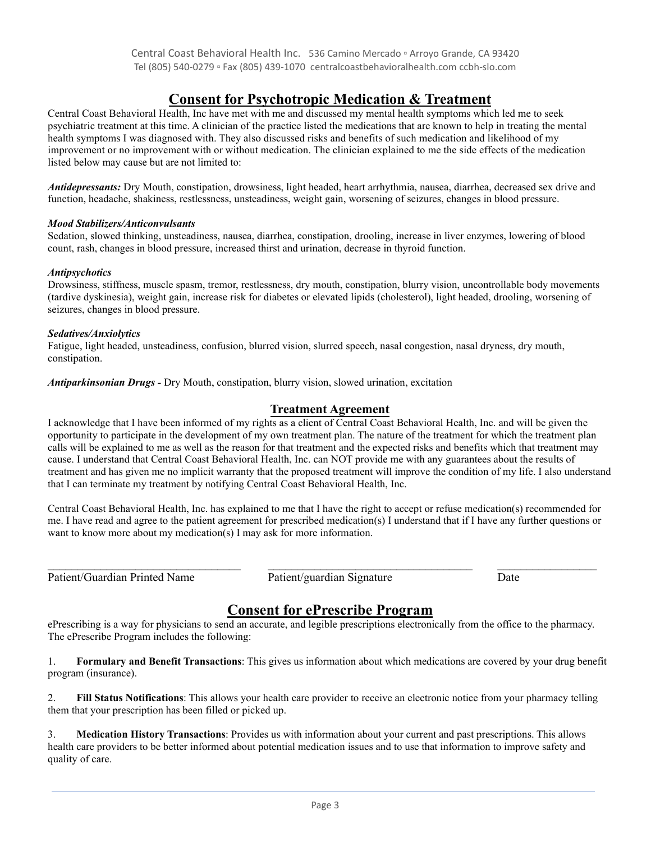# **Consent for Psychotropic Medication & Treatment**

Central Coast Behavioral Health, Inc have met with me and discussed my mental health symptoms which led me to seek psychiatric treatment at this time. A clinician of the practice listed the medications that are known to help in treating the mental health symptoms I was diagnosed with. They also discussed risks and benefits of such medication and likelihood of my improvement or no improvement with or without medication. The clinician explained to me the side effects of the medication listed below may cause but are not limited to:

*Antidepressants:* Dry Mouth, constipation, drowsiness, light headed, heart arrhythmia, nausea, diarrhea, decreased sex drive and function, headache, shakiness, restlessness, unsteadiness, weight gain, worsening of seizures, changes in blood pressure.

# *Mood Stabilizers/Anticonvulsants*

Sedation, slowed thinking, unsteadiness, nausea, diarrhea, constipation, drooling, increase in liver enzymes, lowering of blood count, rash, changes in blood pressure, increased thirst and urination, decrease in thyroid function.

#### *Antipsychotics*

Drowsiness, stiffness, muscle spasm, tremor, restlessness, dry mouth, constipation, blurry vision, uncontrollable body movements (tardive dyskinesia), weight gain, increase risk for diabetes or elevated lipids (cholesterol), light headed, drooling, worsening of seizures, changes in blood pressure.

#### *Sedatives/Anxiolytics*

Fatigue, light headed, unsteadiness, confusion, blurred vision, slurred speech, nasal congestion, nasal dryness, dry mouth, constipation.

*Antiparkinsonian Drugs -* Dry Mouth, constipation, blurry vision, slowed urination, excitation

# **Treatment Agreement**

I acknowledge that I have been informed of my rights as a client of Central Coast Behavioral Health, Inc. and will be given the opportunity to participate in the development of my own treatment plan. The nature of the treatment for which the treatment plan calls will be explained to me as well as the reason for that treatment and the expected risks and benefits which that treatment may cause. I understand that Central Coast Behavioral Health, Inc. can NOT provide me with any guarantees about the results of treatment and has given me no implicit warranty that the proposed treatment will improve the condition of my life. I also understand that I can terminate my treatment by notifying Central Coast Behavioral Health, Inc.

Central Coast Behavioral Health, Inc. has explained to me that I have the right to accept or refuse medication(s) recommended for me. I have read and agree to the patient agreement for prescribed medication(s) I understand that if I have any further questions or want to know more about my medication(s) I may ask for more information.

Patient/Guardian Printed Name Patient/guardian Signature Date

\_\_\_\_\_\_\_\_\_\_\_\_\_\_\_\_\_\_\_\_\_\_\_\_\_\_\_\_\_\_\_\_\_ \_\_\_\_\_\_\_\_\_\_\_\_\_\_\_\_\_\_\_\_\_\_\_\_\_\_\_\_\_\_\_\_\_\_\_ \_\_\_\_\_\_\_\_\_\_\_\_\_\_\_\_\_

# **Consent for ePrescribe Program**

ePrescribing is a way for physicians to send an accurate, and legible prescriptions electronically from the office to the pharmacy. The ePrescribe Program includes the following:

1. **Formulary and Benefit Transactions**: This gives us information about which medications are covered by your drug benefit program (insurance).

2. **Fill Status Notifications**: This allows your health care provider to receive an electronic notice from your pharmacy telling them that your prescription has been filled or picked up.

3. **Medication History Transactions**: Provides us with information about your current and past prescriptions. This allows health care providers to be better informed about potential medication issues and to use that information to improve safety and quality of care.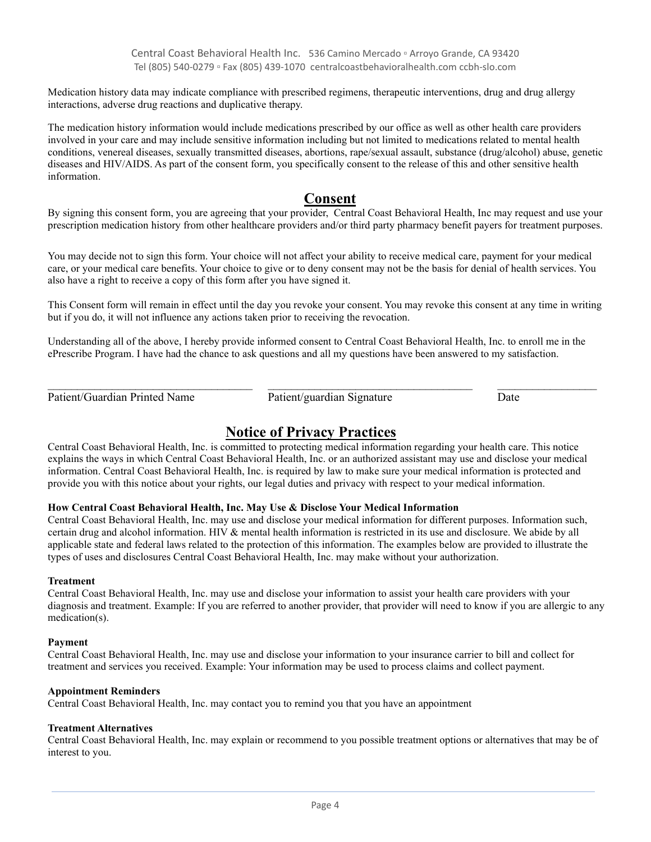Medication history data may indicate compliance with prescribed regimens, therapeutic interventions, drug and drug allergy interactions, adverse drug reactions and duplicative therapy.

The medication history information would include medications prescribed by our office as well as other health care providers involved in your care and may include sensitive information including but not limited to medications related to mental health conditions, venereal diseases, sexually transmitted diseases, abortions, rape/sexual assault, substance (drug/alcohol) abuse, genetic diseases and HIV/AIDS. As part of the consent form, you specifically consent to the release of this and other sensitive health information.

# **Consent**

By signing this consent form, you are agreeing that your provider, Central Coast Behavioral Health, Inc may request and use your prescription medication history from other healthcare providers and/or third party pharmacy benefit payers for treatment purposes.

You may decide not to sign this form. Your choice will not affect your ability to receive medical care, payment for your medical care, or your medical care benefits. Your choice to give or to deny consent may not be the basis for denial of health services. You also have a right to receive a copy of this form after you have signed it.

This Consent form will remain in effect until the day you revoke your consent. You may revoke this consent at any time in writing but if you do, it will not influence any actions taken prior to receiving the revocation.

Understanding all of the above, I hereby provide informed consent to Central Coast Behavioral Health, Inc. to enroll me in the ePrescribe Program. I have had the chance to ask questions and all my questions have been answered to my satisfaction.

Patient/Guardian Printed Name Patient/guardian Signature Date

 $\_$  ,  $\_$  ,  $\_$  ,  $\_$  ,  $\_$  ,  $\_$  ,  $\_$  ,  $\_$  ,  $\_$  ,  $\_$  ,  $\_$  ,  $\_$  ,  $\_$  ,  $\_$  ,  $\_$  ,  $\_$  ,  $\_$  ,  $\_$  ,  $\_$  ,  $\_$  ,  $\_$  ,  $\_$  ,  $\_$  ,  $\_$  ,  $\_$  ,  $\_$  ,  $\_$  ,  $\_$  ,  $\_$  ,  $\_$  ,  $\_$  ,  $\_$  ,  $\_$  ,  $\_$  ,  $\_$  ,  $\_$  ,  $\_$  ,

# **Notice of Privacy Practices**

Central Coast Behavioral Health, Inc. is committed to protecting medical information regarding your health care. This notice explains the ways in which Central Coast Behavioral Health, Inc. or an authorized assistant may use and disclose your medical information. Central Coast Behavioral Health, Inc. is required by law to make sure your medical information is protected and provide you with this notice about your rights, our legal duties and privacy with respect to your medical information.

# **How Central Coast Behavioral Health, Inc. May Use & Disclose Your Medical Information**

Central Coast Behavioral Health, Inc. may use and disclose your medical information for different purposes. Information such, certain drug and alcohol information. HIV & mental health information is restricted in its use and disclosure. We abide by all applicable state and federal laws related to the protection of this information. The examples below are provided to illustrate the types of uses and disclosures Central Coast Behavioral Health, Inc. may make without your authorization.

# **Treatment**

Central Coast Behavioral Health, Inc. may use and disclose your information to assist your health care providers with your diagnosis and treatment. Example: If you are referred to another provider, that provider will need to know if you are allergic to any medication(s).

# **Payment**

Central Coast Behavioral Health, Inc. may use and disclose your information to your insurance carrier to bill and collect for treatment and services you received. Example: Your information may be used to process claims and collect payment.

# **Appointment Reminders**

Central Coast Behavioral Health, Inc. may contact you to remind you that you have an appointment

# **Treatment Alternatives**

Central Coast Behavioral Health, Inc. may explain or recommend to you possible treatment options or alternatives that may be of interest to you.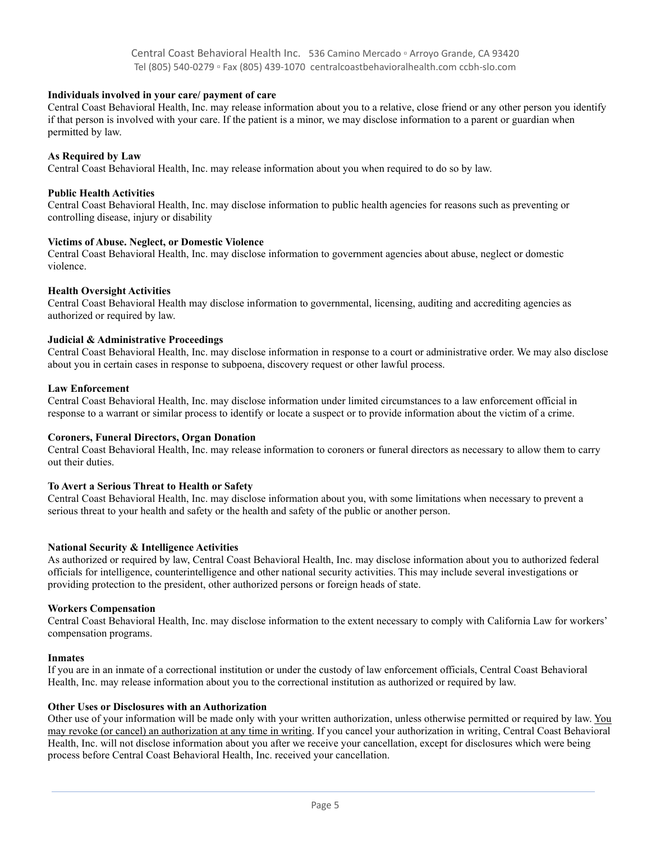#### **Individuals involved in your care/ payment of care**

Central Coast Behavioral Health, Inc. may release information about you to a relative, close friend or any other person you identify if that person is involved with your care. If the patient is a minor, we may disclose information to a parent or guardian when permitted by law.

#### **As Required by Law**

Central Coast Behavioral Health, Inc. may release information about you when required to do so by law.

#### **Public Health Activities**

Central Coast Behavioral Health, Inc. may disclose information to public health agencies for reasons such as preventing or controlling disease, injury or disability

#### **Victims of Abuse. Neglect, or Domestic Violence**

Central Coast Behavioral Health, Inc. may disclose information to government agencies about abuse, neglect or domestic violence.

#### **Health Oversight Activities**

Central Coast Behavioral Health may disclose information to governmental, licensing, auditing and accrediting agencies as authorized or required by law.

#### **Judicial & Administrative Proceedings**

Central Coast Behavioral Health, Inc. may disclose information in response to a court or administrative order. We may also disclose about you in certain cases in response to subpoena, discovery request or other lawful process.

#### **Law Enforcement**

Central Coast Behavioral Health, Inc. may disclose information under limited circumstances to a law enforcement official in response to a warrant or similar process to identify or locate a suspect or to provide information about the victim of a crime.

#### **Coroners, Funeral Directors, Organ Donation**

Central Coast Behavioral Health, Inc. may release information to coroners or funeral directors as necessary to allow them to carry out their duties.

#### **To Avert a Serious Threat to Health or Safety**

Central Coast Behavioral Health, Inc. may disclose information about you, with some limitations when necessary to prevent a serious threat to your health and safety or the health and safety of the public or another person.

#### **National Security & Intelligence Activities**

As authorized or required by law, Central Coast Behavioral Health, Inc. may disclose information about you to authorized federal officials for intelligence, counterintelligence and other national security activities. This may include several investigations or providing protection to the president, other authorized persons or foreign heads of state.

#### **Workers Compensation**

Central Coast Behavioral Health, Inc. may disclose information to the extent necessary to comply with California Law for workers' compensation programs.

#### **Inmates**

If you are in an inmate of a correctional institution or under the custody of law enforcement officials, Central Coast Behavioral Health, Inc. may release information about you to the correctional institution as authorized or required by law.

#### **Other Uses or Disclosures with an Authorization**

Other use of your information will be made only with your written authorization, unless otherwise permitted or required by law. You may revoke (or cancel) an authorization at any time in writing. If you cancel your authorization in writing, Central Coast Behavioral Health, Inc. will not disclose information about you after we receive your cancellation, except for disclosures which were being process before Central Coast Behavioral Health, Inc. received your cancellation.